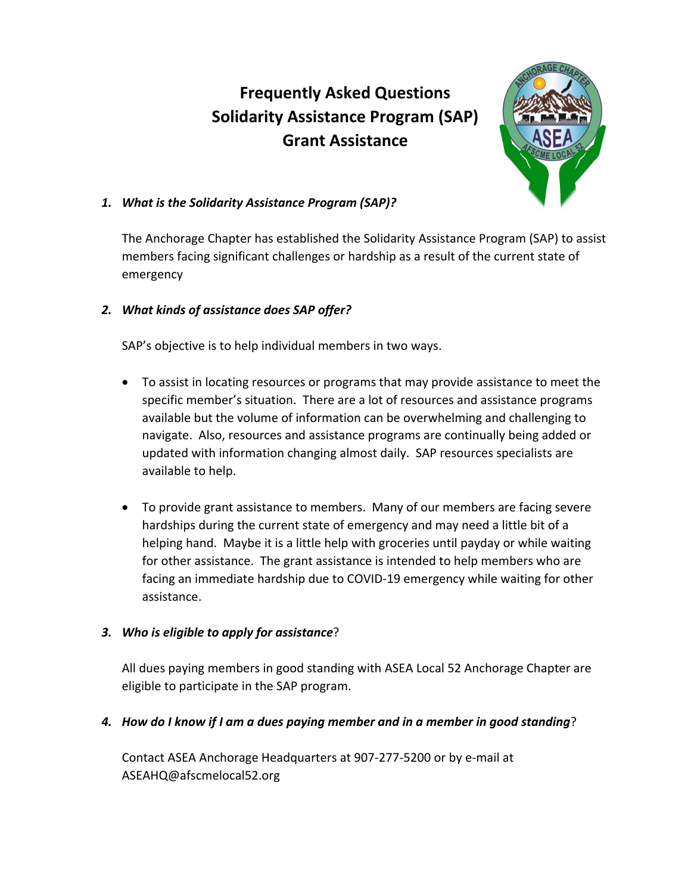# **Frequently Asked Questions Solidarity Assistance Program (SAP) Grant Assistance**



## *1. What is the Solidarity Assistance Program (SAP)?*

The Anchorage Chapter has established the Solidarity Assistance Program (SAP) to assist members facing significant challenges or hardship as a result of the current state of emergency

## *2. What kinds of assistance does SAP offer?*

SAP's objective is to help individual members in two ways.

- To assist in locating resources or programs that may provide assistance to meet the specific member's situation. There are a lot of resources and assistance programs available but the volume of information can be overwhelming and challenging to navigate. Also, resources and assistance programs are continually being added or updated with information changing almost daily. SAP resources specialists are available to help.
- To provide grant assistance to members. Many of our members are facing severe hardships during the current state of emergency and may need a little bit of a helping hand. Maybe it is a little help with groceries until payday or while waiting for other assistance. The grant assistance is intended to help members who are facing an immediate hardship due to COVID‐19 emergency while waiting for other assistance.

## *3. Who is eligible to apply for assistance*?

All dues paying members in good standing with ASEA Local 52 Anchorage Chapter are eligible to participate in the SAP program.

## *4. How do I know if I am a dues paying member and in a member in good standing*?

Contact ASEA Anchorage Headquarters at 907‐277‐5200 or by e‐mail at ASEAHQ@afscmelocal52.org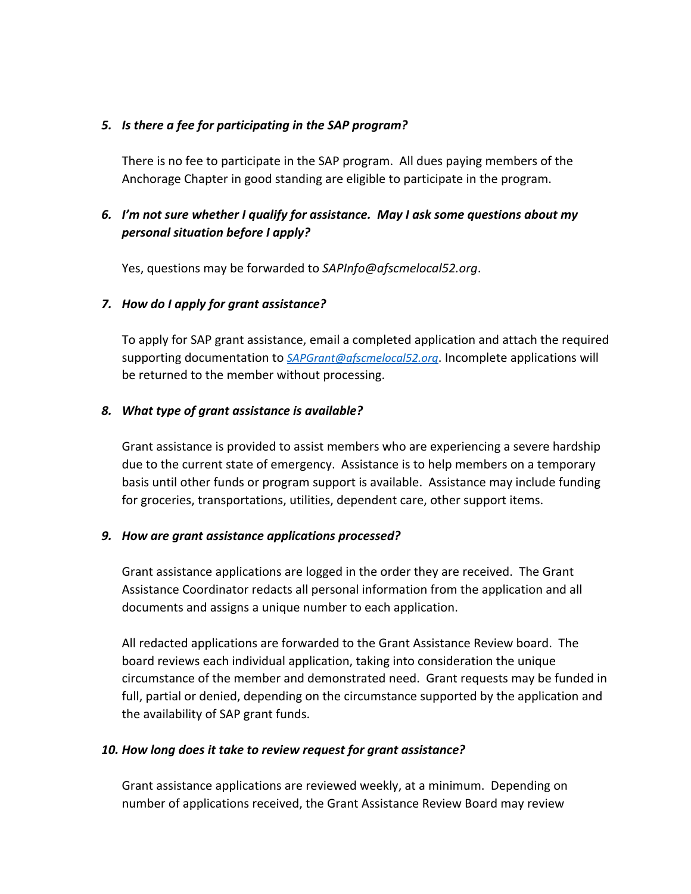#### *5. Is there a fee for participating in the SAP program?*

There is no fee to participate in the SAP program. All dues paying members of the Anchorage Chapter in good standing are eligible to participate in the program.

# *6. I'm not sure whether I qualify for assistance. May I ask some questions about my personal situation before I apply?*

Yes, questions may be forwarded to *SAPInfo@afscmelocal52.org*.

#### *7. How do I apply for grant assistance?*

To apply for SAP grant assistance, email a completed application and attach the required supporting documentation to *SAPGrant@afscmelocal52.org*. Incomplete applications will be returned to the member without processing.

#### *8. What type of grant assistance is available?*

Grant assistance is provided to assist members who are experiencing a severe hardship due to the current state of emergency. Assistance is to help members on a temporary basis until other funds or program support is available. Assistance may include funding for groceries, transportations, utilities, dependent care, other support items.

#### *9. How are grant assistance applications processed?*

Grant assistance applications are logged in the order they are received. The Grant Assistance Coordinator redacts all personal information from the application and all documents and assigns a unique number to each application.

All redacted applications are forwarded to the Grant Assistance Review board. The board reviews each individual application, taking into consideration the unique circumstance of the member and demonstrated need. Grant requests may be funded in full, partial or denied, depending on the circumstance supported by the application and the availability of SAP grant funds.

## *10. How long does it take to review request for grant assistance?*

Grant assistance applications are reviewed weekly, at a minimum. Depending on number of applications received, the Grant Assistance Review Board may review